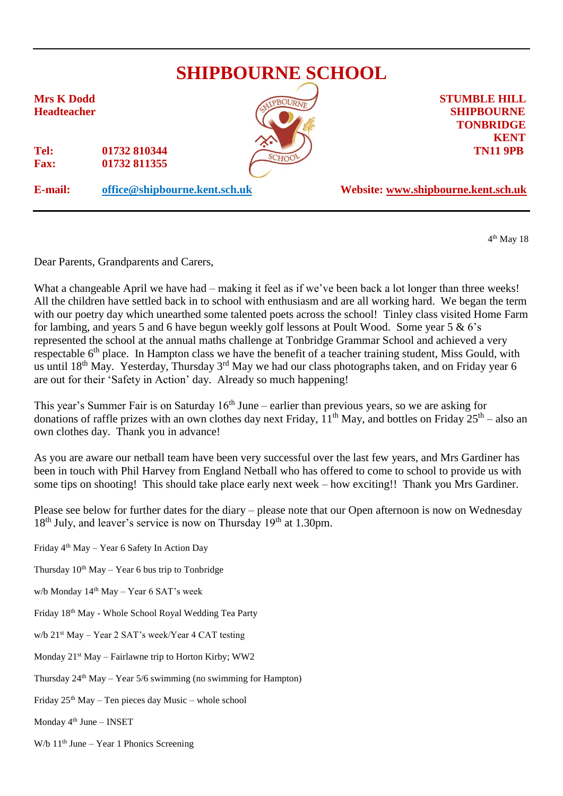

4 th May 18

Dear Parents, Grandparents and Carers,

What a changeable April we have had – making it feel as if we've been back a lot longer than three weeks! All the children have settled back in to school with enthusiasm and are all working hard. We began the term with our poetry day which unearthed some talented poets across the school! Tinley class visited Home Farm for lambing, and years 5 and 6 have begun weekly golf lessons at Poult Wood. Some year 5 & 6's represented the school at the annual maths challenge at Tonbridge Grammar School and achieved a very respectable 6<sup>th</sup> place. In Hampton class we have the benefit of a teacher training student, Miss Gould, with us until 18<sup>th</sup> May. Yesterday, Thursday 3<sup>rd</sup> May we had our class photographs taken, and on Friday year 6 are out for their 'Safety in Action' day. Already so much happening!

This year's Summer Fair is on Saturday  $16<sup>th</sup>$  June – earlier than previous years, so we are asking for donations of raffle prizes with an own clothes day next Friday,  $11<sup>th</sup>$  May, and bottles on Friday  $25<sup>th</sup>$  – also an own clothes day. Thank you in advance!

As you are aware our netball team have been very successful over the last few years, and Mrs Gardiner has been in touch with Phil Harvey from England Netball who has offered to come to school to provide us with some tips on shooting! This should take place early next week – how exciting!! Thank you Mrs Gardiner.

Please see below for further dates for the diary – please note that our Open afternoon is now on Wednesday  $18<sup>th</sup>$  July, and leaver's service is now on Thursday  $19<sup>th</sup>$  at 1.30pm.

- Friday 4th May Year 6 Safety In Action Day
- Thursday  $10^{th}$  May Year 6 bus trip to Tonbridge
- w/b Monday  $14<sup>th</sup>$  May Year 6 SAT's week
- Friday 18th May Whole School Royal Wedding Tea Party
- w/b 21st May Year 2 SAT's week/Year 4 CAT testing
- Monday 21<sup>st</sup> May Fairlawne trip to Horton Kirby; WW2
- Thursday  $24<sup>th</sup>$  May Year 5/6 swimming (no swimming for Hampton)
- Friday  $25<sup>th</sup>$  May Ten pieces day Music whole school
- Monday  $4<sup>th</sup>$  June INSET
- W/b  $11<sup>th</sup>$  June Year 1 Phonics Screening